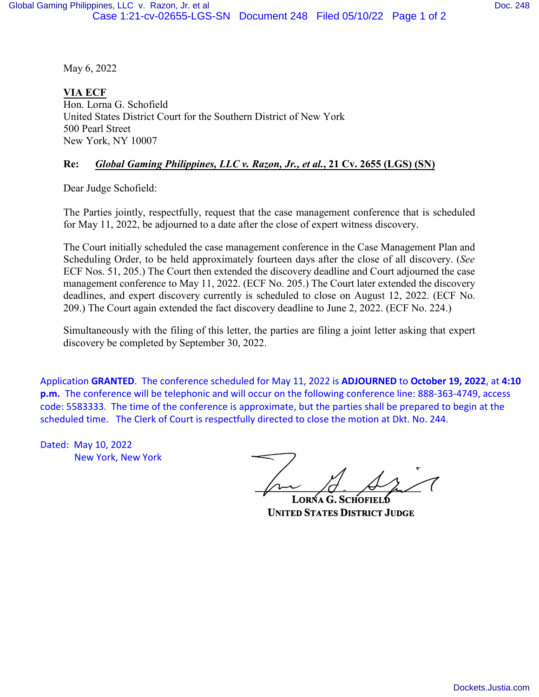May 6, 2022

**VIA ECF** Hon. Lorna G. Schofield United States District Court for the Southern District of New York 500 Pearl Street New York, NY 10007

## **Re:** *Global Gaming Philippines, LLC v. Razon, Jr., et al.***, 21 Cv. 2655 (LGS) (SN)**

Dear Judge Schofield:

The Parties jointly, respectfully, request that the case management conference that is scheduled for May 11, 2022, be adjourned to a date after the close of expert witness discovery.

The Court initially scheduled the case management conference in the Case Management Plan and Scheduling Order, to be held approximately fourteen days after the close of all discovery. (*See*  ECF Nos. 51, 205.) The Court then extended the discovery deadline and Court adjourned the case management conference to May 11, 2022. (ECF No. 205.) The Court later extended the discovery deadlines, and expert discovery currently is scheduled to close on August 12, 2022. (ECF No. 209.) The Court again extended the fact discovery deadline to June 2, 2022. (ECF No. 224.)

Simultaneously with the filing of this letter, the parties are filing a joint letter asking that expert discovery be completed by September 30, 2022.

Application **GRANTED**. The conference scheduled for May 11, 2022 is **ADJOURNED** to **October 19, 2022**, at **4:10 p.m.** The conference will be telephonic and will occur on the following conference line: 888-363-4749, access code: 5583333. The time of the conference is approximate, but the parties shall be prepared to begin at the scheduled time. The Clerk of Court is respectfully directed to close the motion at Dkt. No. 244.

Dated: May 10, 2022 New York, New York

**LORNA G. SCHOF UNITED STATES DISTRICT JUDGE**